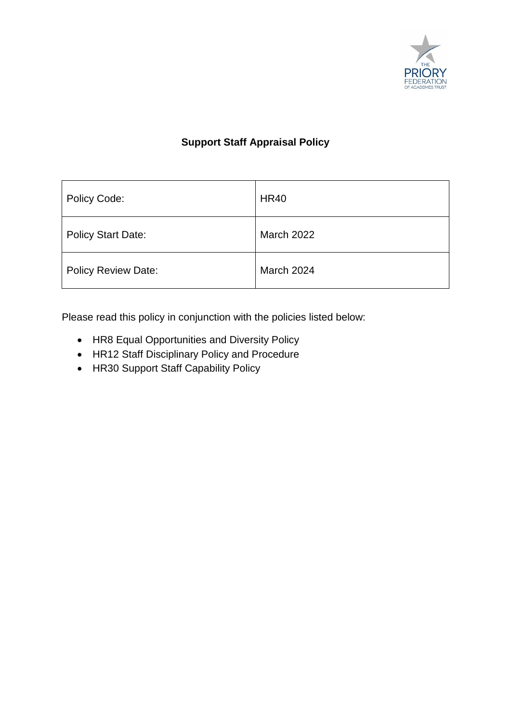

# **Support Staff Appraisal Policy**

| Policy Code:               | <b>HR40</b>       |
|----------------------------|-------------------|
| <b>Policy Start Date:</b>  | <b>March 2022</b> |
| <b>Policy Review Date:</b> | March 2024        |

Please read this policy in conjunction with the policies listed below:

- HR8 Equal Opportunities and Diversity Policy
- HR12 Staff Disciplinary Policy and Procedure
- HR30 Support Staff Capability Policy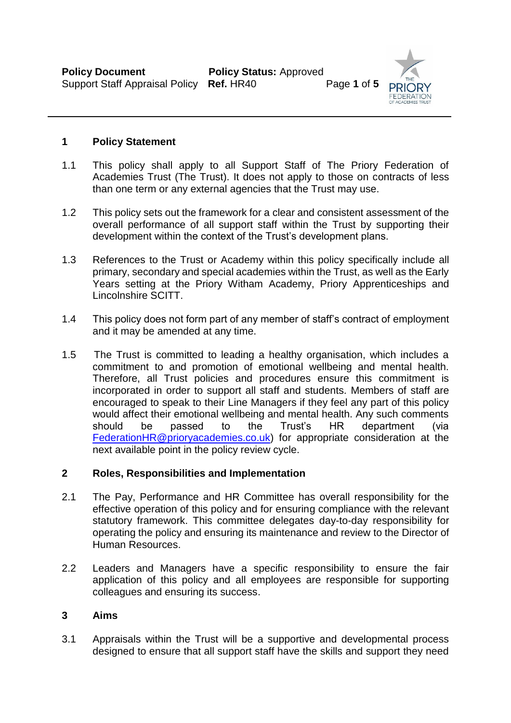

#### **1 Policy Statement**

- 1.1 This policy shall apply to all Support Staff of The Priory Federation of Academies Trust (The Trust). It does not apply to those on contracts of less than one term or any external agencies that the Trust may use.
- 1.2 This policy sets out the framework for a clear and consistent assessment of the overall performance of all support staff within the Trust by supporting their development within the context of the Trust's development plans.
- 1.3 References to the Trust or Academy within this policy specifically include all primary, secondary and special academies within the Trust, as well as the Early Years setting at the Priory Witham Academy, Priory Apprenticeships and Lincolnshire SCITT.
- 1.4 This policy does not form part of any member of staff's contract of employment and it may be amended at any time.
- 1.5 The Trust is committed to leading a healthy organisation, which includes a commitment to and promotion of emotional wellbeing and mental health. Therefore, all Trust policies and procedures ensure this commitment is incorporated in order to support all staff and students. Members of staff are encouraged to speak to their Line Managers if they feel any part of this policy would affect their emotional wellbeing and mental health. Any such comments should be passed to the Trust's HR department (via [FederationHR@prioryacademies.co.uk\)](mailto:FederationHR@prioryacademies.co.uk) for appropriate consideration at the next available point in the policy review cycle.

#### **2 Roles, Responsibilities and Implementation**

- 2.1 The Pay, Performance and HR Committee has overall responsibility for the effective operation of this policy and for ensuring compliance with the relevant statutory framework. This committee delegates day-to-day responsibility for operating the policy and ensuring its maintenance and review to the Director of Human Resources.
- 2.2 Leaders and Managers have a specific responsibility to ensure the fair application of this policy and all employees are responsible for supporting colleagues and ensuring its success.

### **3 Aims**

3.1 Appraisals within the Trust will be a supportive and developmental process designed to ensure that all support staff have the skills and support they need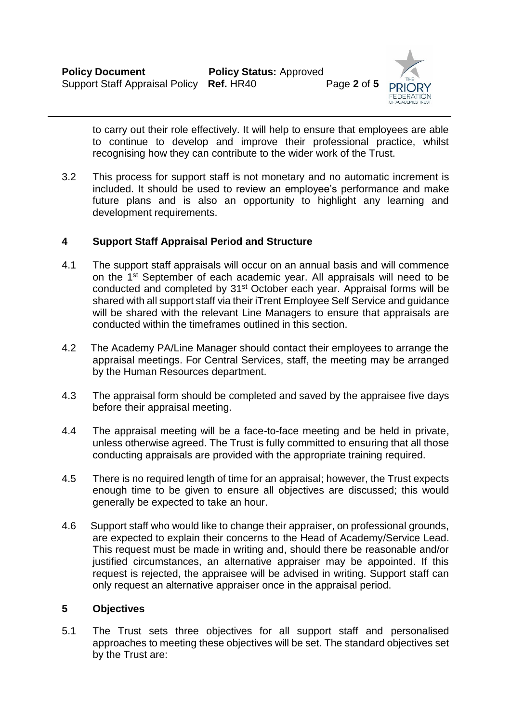

to carry out their role effectively. It will help to ensure that employees are able to continue to develop and improve their professional practice, whilst recognising how they can contribute to the wider work of the Trust.

3.2 This process for support staff is not monetary and no automatic increment is included. It should be used to review an employee's performance and make future plans and is also an opportunity to highlight any learning and development requirements.

### **4 Support Staff Appraisal Period and Structure**

- 4.1 The support staff appraisals will occur on an annual basis and will commence on the 1st September of each academic year. All appraisals will need to be conducted and completed by 31st October each year. Appraisal forms will be shared with all support staff via their iTrent Employee Self Service and guidance will be shared with the relevant Line Managers to ensure that appraisals are conducted within the timeframes outlined in this section.
- 4.2 The Academy PA/Line Manager should contact their employees to arrange the appraisal meetings. For Central Services, staff, the meeting may be arranged by the Human Resources department.
- 4.3 The appraisal form should be completed and saved by the appraisee five days before their appraisal meeting.
- 4.4 The appraisal meeting will be a face-to-face meeting and be held in private, unless otherwise agreed. The Trust is fully committed to ensuring that all those conducting appraisals are provided with the appropriate training required.
- 4.5 There is no required length of time for an appraisal; however, the Trust expects enough time to be given to ensure all objectives are discussed; this would generally be expected to take an hour.
- 4.6 Support staff who would like to change their appraiser, on professional grounds, are expected to explain their concerns to the Head of Academy/Service Lead. This request must be made in writing and, should there be reasonable and/or justified circumstances, an alternative appraiser may be appointed. If this request is rejected, the appraisee will be advised in writing. Support staff can only request an alternative appraiser once in the appraisal period.

#### **5 Objectives**

5.1 The Trust sets three objectives for all support staff and personalised approaches to meeting these objectives will be set. The standard objectives set by the Trust are: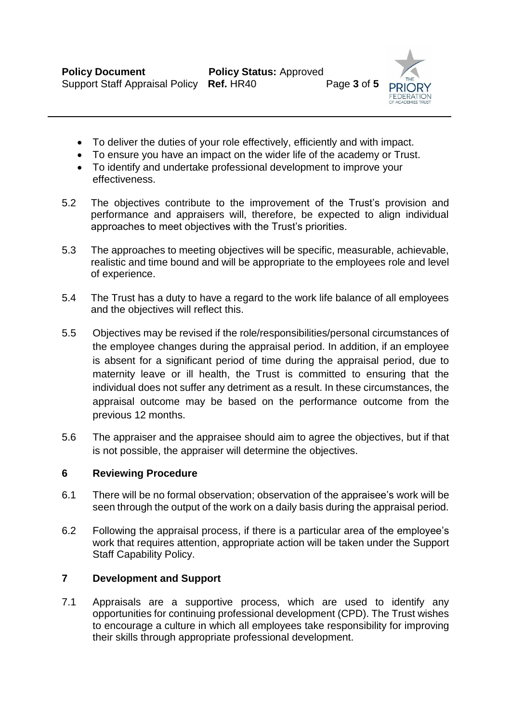

- To deliver the duties of your role effectively, efficiently and with impact.
- To ensure you have an impact on the wider life of the academy or Trust.
- To identify and undertake professional development to improve your effectiveness.
- 5.2 The objectives contribute to the improvement of the Trust's provision and performance and appraisers will, therefore, be expected to align individual approaches to meet objectives with the Trust's priorities.
- 5.3 The approaches to meeting objectives will be specific, measurable, achievable, realistic and time bound and will be appropriate to the employees role and level of experience.
- 5.4 The Trust has a duty to have a regard to the work life balance of all employees and the objectives will reflect this.
- 5.5 Objectives may be revised if the role/responsibilities/personal circumstances of the employee changes during the appraisal period. In addition, if an employee is absent for a significant period of time during the appraisal period, due to maternity leave or ill health, the Trust is committed to ensuring that the individual does not suffer any detriment as a result. In these circumstances, the appraisal outcome may be based on the performance outcome from the previous 12 months.
- 5.6 The appraiser and the appraisee should aim to agree the objectives, but if that is not possible, the appraiser will determine the objectives.

# **6 Reviewing Procedure**

- 6.1 There will be no formal observation; observation of the appraisee's work will be seen through the output of the work on a daily basis during the appraisal period.
- 6.2 Following the appraisal process, if there is a particular area of the employee's work that requires attention, appropriate action will be taken under the Support Staff Capability Policy.

# **7 Development and Support**

7.1 Appraisals are a supportive process, which are used to identify any opportunities for continuing professional development (CPD). The Trust wishes to encourage a culture in which all employees take responsibility for improving their skills through appropriate professional development.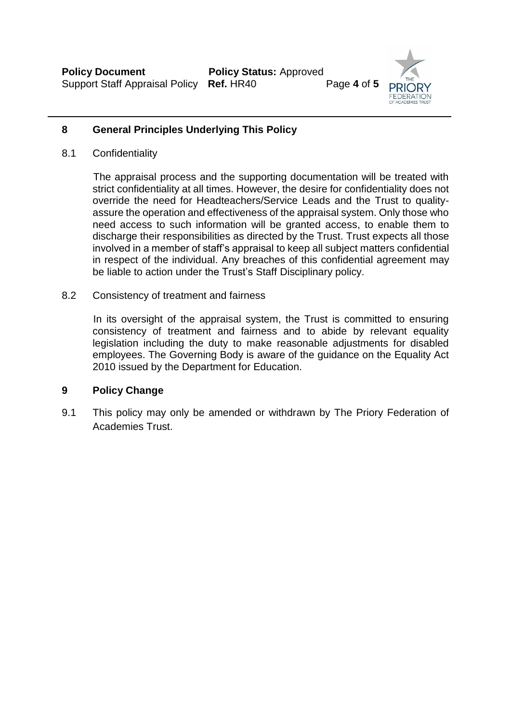

# **8 General Principles Underlying This Policy**

8.1 Confidentiality

 The appraisal process and the supporting documentation will be treated with strict confidentiality at all times. However, the desire for confidentiality does not override the need for Headteachers/Service Leads and the Trust to qualityassure the operation and effectiveness of the appraisal system. Only those who need access to such information will be granted access, to enable them to discharge their responsibilities as directed by the Trust. Trust expects all those involved in a member of staff's appraisal to keep all subject matters confidential in respect of the individual. Any breaches of this confidential agreement may be liable to action under the Trust's Staff Disciplinary policy.

8.2 Consistency of treatment and fairness

In its oversight of the appraisal system, the Trust is committed to ensuring consistency of treatment and fairness and to abide by relevant equality legislation including the duty to make reasonable adjustments for disabled employees. The Governing Body is aware of the guidance on the Equality Act 2010 issued by the Department for Education.

# **9 Policy Change**

9.1 This policy may only be amended or withdrawn by The Priory Federation of Academies Trust.